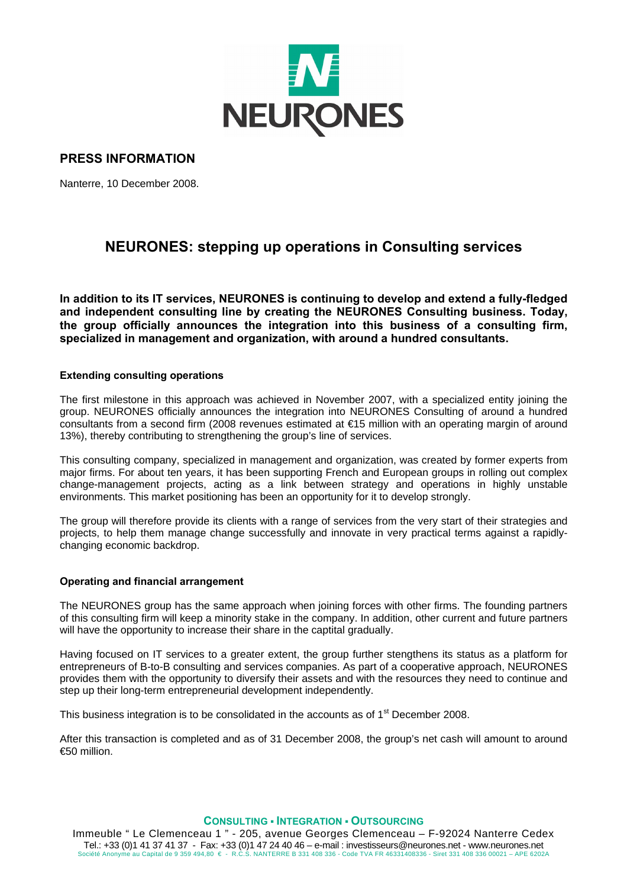

## **PRESS INFORMATION**

Nanterre, 10 December 2008.

# **NEURONES: stepping up operations in Consulting services**

**In addition to its IT services, NEURONES is continuing to develop and extend a fully-fledged and independent consulting line by creating the NEURONES Consulting business. Today, the group officially announces the integration into this business of a consulting firm, specialized in management and organization, with around a hundred consultants.** 

#### **Extending consulting operations**

The first milestone in this approach was achieved in November 2007, with a specialized entity joining the group. NEURONES officially announces the integration into NEURONES Consulting of around a hundred consultants from a second firm (2008 revenues estimated at €15 million with an operating margin of around 13%), thereby contributing to strengthening the group's line of services.

This consulting company, specialized in management and organization, was created by former experts from major firms. For about ten years, it has been supporting French and European groups in rolling out complex change-management projects, acting as a link between strategy and operations in highly unstable environments. This market positioning has been an opportunity for it to develop strongly.

The group will therefore provide its clients with a range of services from the very start of their strategies and projects, to help them manage change successfully and innovate in very practical terms against a rapidlychanging economic backdrop.

### **Operating and financial arrangement**

The NEURONES group has the same approach when joining forces with other firms. The founding partners of this consulting firm will keep a minority stake in the company. In addition, other current and future partners will have the opportunity to increase their share in the captital gradually.

Having focused on IT services to a greater extent, the group further stengthens its status as a platform for entrepreneurs of B-to-B consulting and services companies. As part of a cooperative approach, NEURONES provides them with the opportunity to diversify their assets and with the resources they need to continue and step up their long-term entrepreneurial development independently.

This business integration is to be consolidated in the accounts as of  $1<sup>st</sup>$  December 2008.

After this transaction is completed and as of 31 December 2008, the group's net cash will amount to around €50 million.

#### **CONSULTING ▪ INTEGRATION ▪ OUTSOURCING**